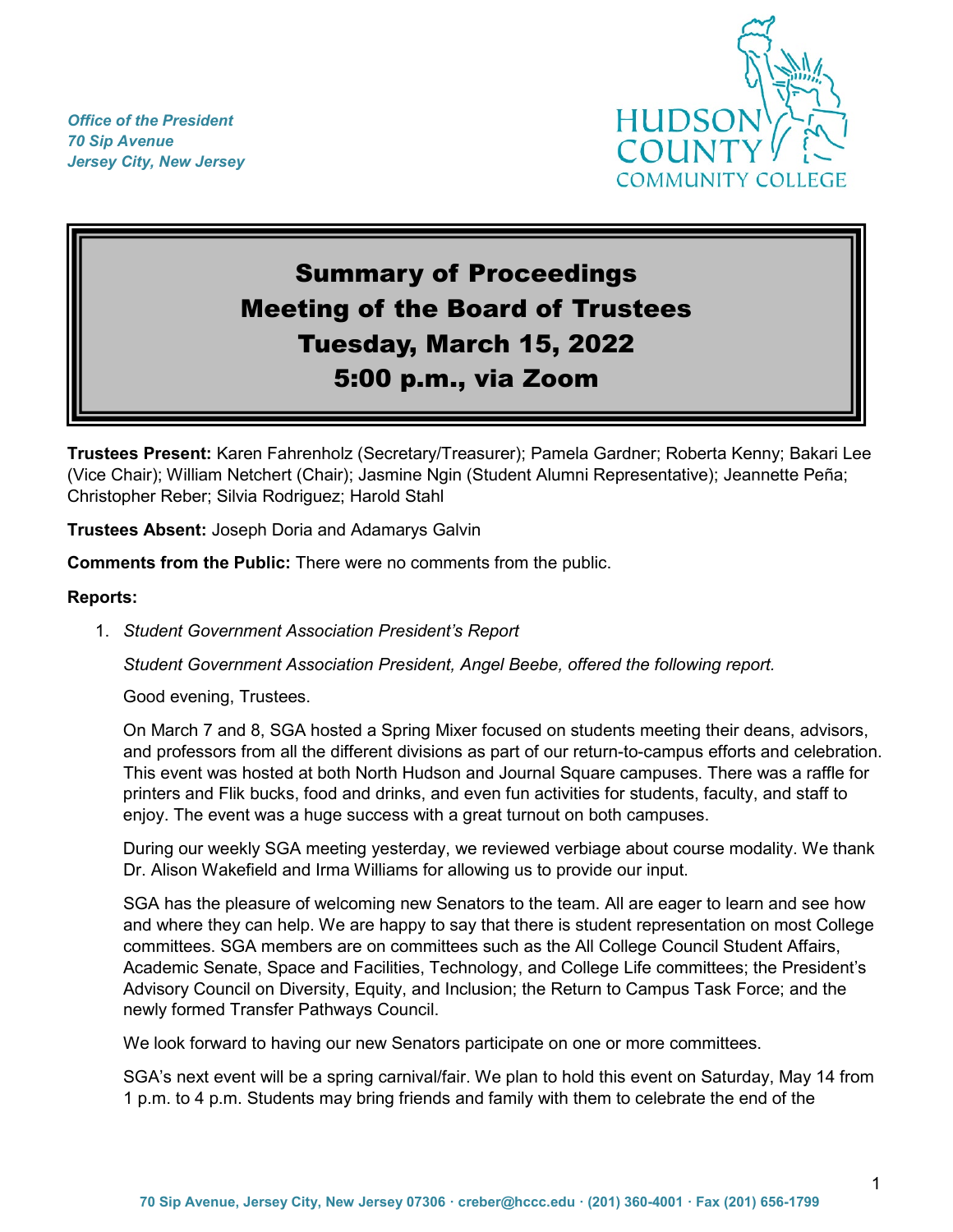*Office of the President 70 Sip Avenue Jersey City, New Jersey*



# Summary of Proceedings Meeting of the Board of Trustees Tuesday, March 15, 2022 5:00 p.m., via Zoom

**Trustees Present:** Karen Fahrenholz (Secretary/Treasurer); Pamela Gardner; Roberta Kenny; Bakari Lee (Vice Chair); William Netchert (Chair); Jasmine Ngin (Student Alumni Representative); Jeannette Peña; Christopher Reber; Silvia Rodriguez; Harold Stahl

**Trustees Absent:** Joseph Doria and Adamarys Galvin

**Comments from the Public:** There were no comments from the public.

## **Reports:**

1. *Student Government Association President's Report*

*Student Government Association President, Angel Beebe, offered the following report.*

Good evening, Trustees.

On March 7 and 8, SGA hosted a Spring Mixer focused on students meeting their deans, advisors, and professors from all the different divisions as part of our return-to-campus efforts and celebration. This event was hosted at both North Hudson and Journal Square campuses. There was a raffle for printers and Flik bucks, food and drinks, and even fun activities for students, faculty, and staff to enjoy. The event was a huge success with a great turnout on both campuses.

During our weekly SGA meeting yesterday, we reviewed verbiage about course modality. We thank Dr. Alison Wakefield and Irma Williams for allowing us to provide our input.

SGA has the pleasure of welcoming new Senators to the team. All are eager to learn and see how and where they can help. We are happy to say that there is student representation on most College committees. SGA members are on committees such as the All College Council Student Affairs, Academic Senate, Space and Facilities, Technology, and College Life committees; the President's Advisory Council on Diversity, Equity, and Inclusion; the Return to Campus Task Force; and the newly formed Transfer Pathways Council.

We look forward to having our new Senators participate on one or more committees.

SGA's next event will be a spring carnival/fair. We plan to hold this event on Saturday, May 14 from 1 p.m. to 4 p.m. Students may bring friends and family with them to celebrate the end of the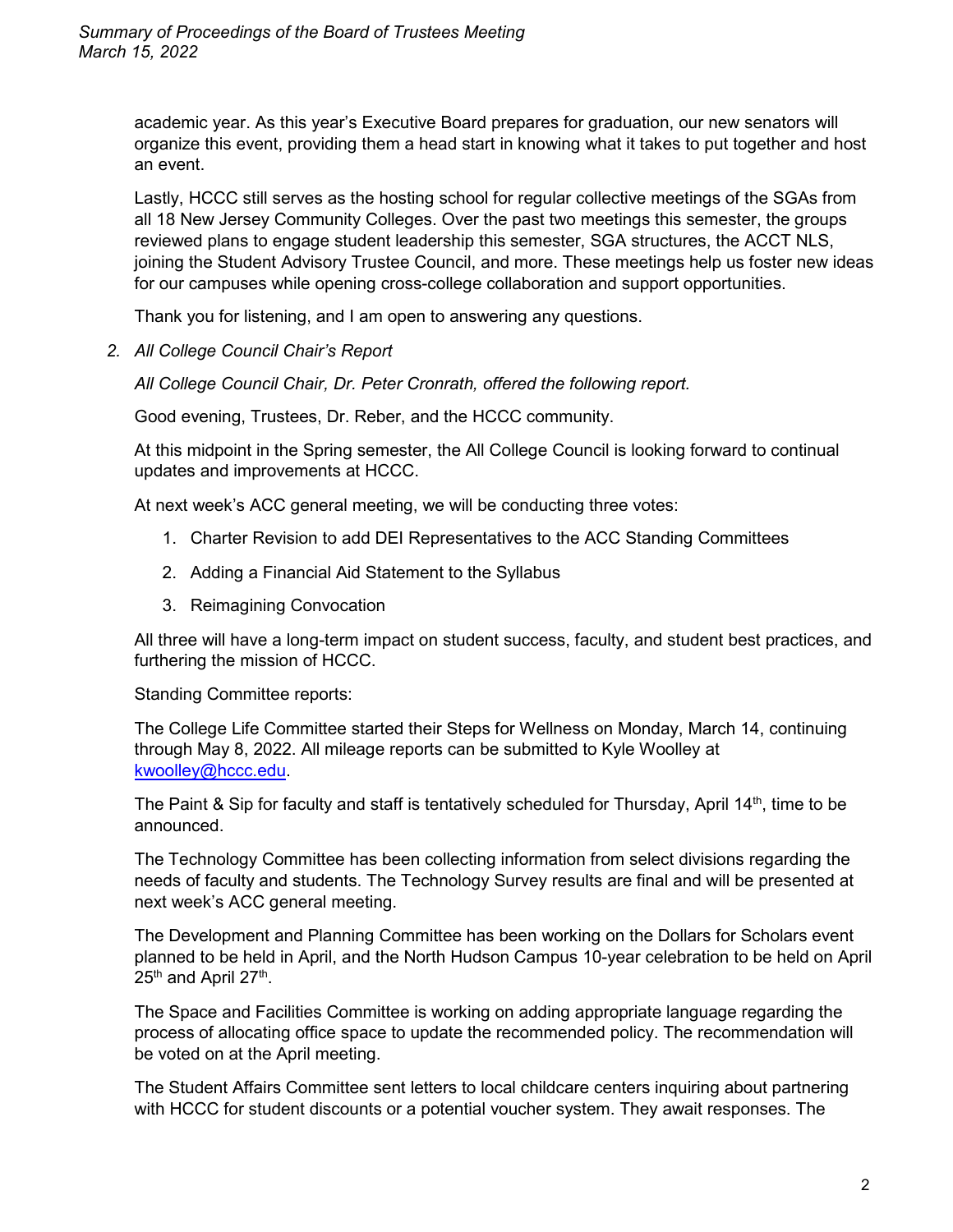academic year. As this year's Executive Board prepares for graduation, our new senators will organize this event, providing them a head start in knowing what it takes to put together and host an event.

Lastly, HCCC still serves as the hosting school for regular collective meetings of the SGAs from all 18 New Jersey Community Colleges. Over the past two meetings this semester, the groups reviewed plans to engage student leadership this semester, SGA structures, the ACCT NLS, joining the Student Advisory Trustee Council, and more. These meetings help us foster new ideas for our campuses while opening cross-college collaboration and support opportunities.

Thank you for listening, and I am open to answering any questions.

*2. All College Council Chair's Report*

*All College Council Chair, Dr. Peter Cronrath, offered the following report.*

Good evening, Trustees, Dr. Reber, and the HCCC community.

At this midpoint in the Spring semester, the All College Council is looking forward to continual updates and improvements at HCCC.

At next week's ACC general meeting, we will be conducting three votes:

- 1. Charter Revision to add DEI Representatives to the ACC Standing Committees
- 2. Adding a Financial Aid Statement to the Syllabus
- 3. Reimagining Convocation

All three will have a long-term impact on student success, faculty, and student best practices, and furthering the mission of HCCC.

Standing Committee reports:

The College Life Committee started their Steps for Wellness on Monday, March 14, continuing through May 8, 2022. All mileage reports can be submitted to Kyle Woolley at [kwoolley@hccc.edu.](mailto:kwoolley@hccc.edu)

The Paint & Sip for faculty and staff is tentatively scheduled for Thursday, April 14<sup>th</sup>, time to be announced.

The Technology Committee has been collecting information from select divisions regarding the needs of faculty and students. The Technology Survey results are final and will be presented at next week's ACC general meeting.

The Development and Planning Committee has been working on the Dollars for Scholars event planned to be held in April, and the North Hudson Campus 10-year celebration to be held on April 25<sup>th</sup> and April 27<sup>th</sup>.

The Space and Facilities Committee is working on adding appropriate language regarding the process of allocating office space to update the recommended policy. The recommendation will be voted on at the April meeting.

The Student Affairs Committee sent letters to local childcare centers inquiring about partnering with HCCC for student discounts or a potential voucher system. They await responses. The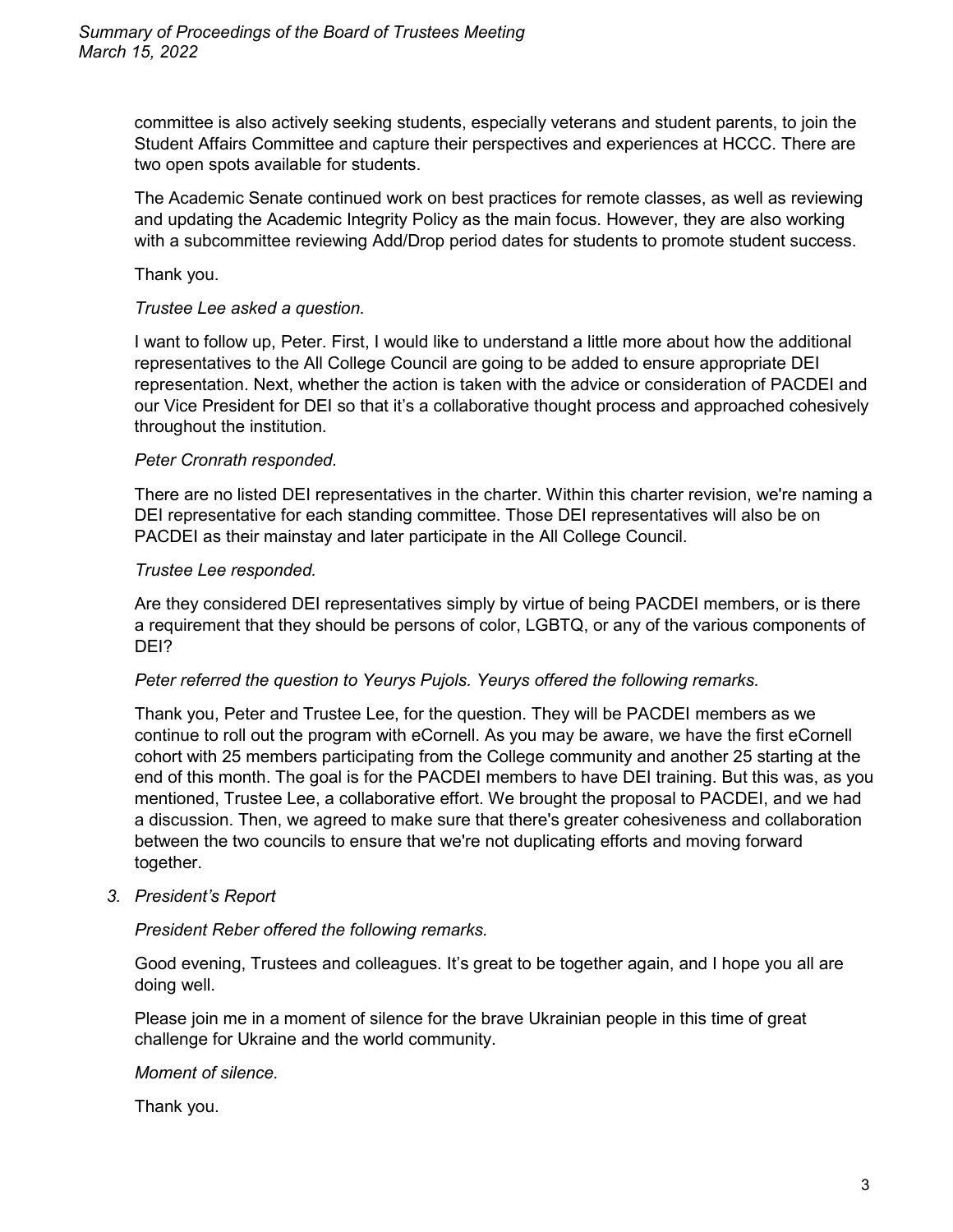committee is also actively seeking students, especially veterans and student parents, to join the Student Affairs Committee and capture their perspectives and experiences at HCCC. There are two open spots available for students.

The Academic Senate continued work on best practices for remote classes, as well as reviewing and updating the Academic Integrity Policy as the main focus. However, they are also working with a subcommittee reviewing Add/Drop period dates for students to promote student success.

Thank you.

#### *Trustee Lee asked a question.*

I want to follow up, Peter. First, I would like to understand a little more about how the additional representatives to the All College Council are going to be added to ensure appropriate DEI representation. Next, whether the action is taken with the advice or consideration of PACDEI and our Vice President for DEI so that it's a collaborative thought process and approached cohesively throughout the institution.

## *Peter Cronrath responded.*

There are no listed DEI representatives in the charter. Within this charter revision, we're naming a DEI representative for each standing committee. Those DEI representatives will also be on PACDEI as their mainstay and later participate in the All College Council.

#### *Trustee Lee responded.*

Are they considered DEI representatives simply by virtue of being PACDEI members, or is there a requirement that they should be persons of color, LGBTQ, or any of the various components of DEI?

#### *Peter referred the question to Yeurys Pujols. Yeurys offered the following remarks.*

Thank you, Peter and Trustee Lee, for the question. They will be PACDEI members as we continue to roll out the program with eCornell. As you may be aware, we have the first eCornell cohort with 25 members participating from the College community and another 25 starting at the end of this month. The goal is for the PACDEI members to have DEI training. But this was, as you mentioned, Trustee Lee, a collaborative effort. We brought the proposal to PACDEI, and we had a discussion. Then, we agreed to make sure that there's greater cohesiveness and collaboration between the two councils to ensure that we're not duplicating efforts and moving forward together.

*3. President's Report*

#### *President Reber offered the following remarks.*

Good evening, Trustees and colleagues. It's great to be together again, and I hope you all are doing well.

Please join me in a moment of silence for the brave Ukrainian people in this time of great challenge for Ukraine and the world community.

#### *Moment of silence.*

Thank you.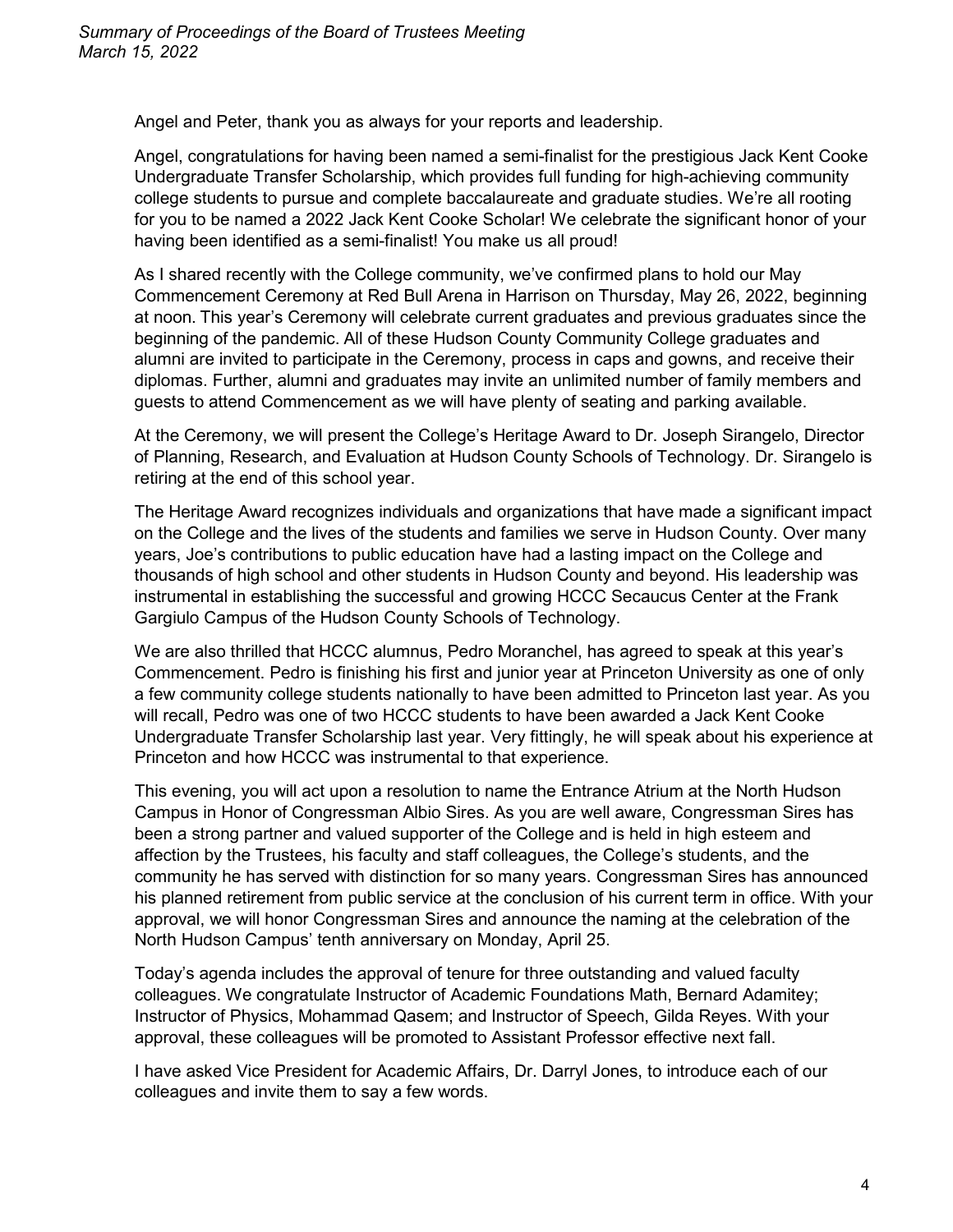Angel and Peter, thank you as always for your reports and leadership.

Angel, congratulations for having been named a semi-finalist for the prestigious Jack Kent Cooke Undergraduate Transfer Scholarship, which provides full funding for high-achieving community college students to pursue and complete baccalaureate and graduate studies. We're all rooting for you to be named a 2022 Jack Kent Cooke Scholar! We celebrate the significant honor of your having been identified as a semi-finalist! You make us all proud!

As I shared recently with the College community, we've confirmed plans to hold our May Commencement Ceremony at Red Bull Arena in Harrison on Thursday, May 26, 2022, beginning at noon. This year's Ceremony will celebrate current graduates and previous graduates since the beginning of the pandemic. All of these Hudson County Community College graduates and alumni are invited to participate in the Ceremony, process in caps and gowns, and receive their diplomas. Further, alumni and graduates may invite an unlimited number of family members and guests to attend Commencement as we will have plenty of seating and parking available.

At the Ceremony, we will present the College's Heritage Award to Dr. Joseph Sirangelo, Director of Planning, Research, and Evaluation at Hudson County Schools of Technology. Dr. Sirangelo is retiring at the end of this school year.

The Heritage Award recognizes individuals and organizations that have made a significant impact on the College and the lives of the students and families we serve in Hudson County. Over many years, Joe's contributions to public education have had a lasting impact on the College and thousands of high school and other students in Hudson County and beyond. His leadership was instrumental in establishing the successful and growing HCCC Secaucus Center at the Frank Gargiulo Campus of the Hudson County Schools of Technology.

We are also thrilled that HCCC alumnus, Pedro Moranchel, has agreed to speak at this year's Commencement. Pedro is finishing his first and junior year at Princeton University as one of only a few community college students nationally to have been admitted to Princeton last year. As you will recall, Pedro was one of two HCCC students to have been awarded a Jack Kent Cooke Undergraduate Transfer Scholarship last year. Very fittingly, he will speak about his experience at Princeton and how HCCC was instrumental to that experience.

This evening, you will act upon a resolution to name the Entrance Atrium at the North Hudson Campus in Honor of Congressman Albio Sires. As you are well aware, Congressman Sires has been a strong partner and valued supporter of the College and is held in high esteem and affection by the Trustees, his faculty and staff colleagues, the College's students, and the community he has served with distinction for so many years. Congressman Sires has announced his planned retirement from public service at the conclusion of his current term in office. With your approval, we will honor Congressman Sires and announce the naming at the celebration of the North Hudson Campus' tenth anniversary on Monday, April 25.

Today's agenda includes the approval of tenure for three outstanding and valued faculty colleagues. We congratulate Instructor of Academic Foundations Math, Bernard Adamitey; Instructor of Physics, Mohammad Qasem; and Instructor of Speech, Gilda Reyes. With your approval, these colleagues will be promoted to Assistant Professor effective next fall.

I have asked Vice President for Academic Affairs, Dr. Darryl Jones, to introduce each of our colleagues and invite them to say a few words.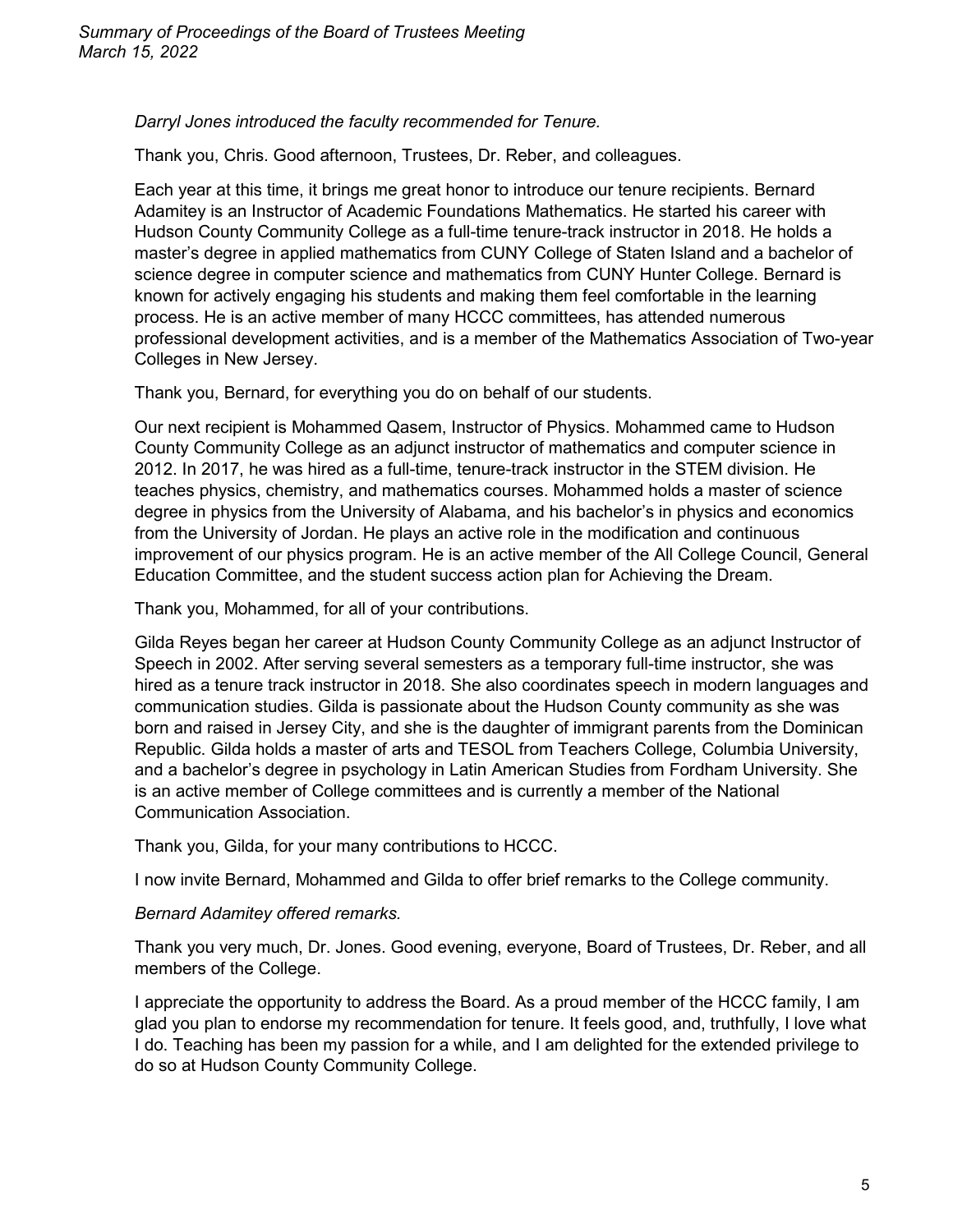*Darryl Jones introduced the faculty recommended for Tenure.*

Thank you, Chris. Good afternoon, Trustees, Dr. Reber, and colleagues.

Each year at this time, it brings me great honor to introduce our tenure recipients. Bernard Adamitey is an Instructor of Academic Foundations Mathematics. He started his career with Hudson County Community College as a full-time tenure-track instructor in 2018. He holds a master's degree in applied mathematics from CUNY College of Staten Island and a bachelor of science degree in computer science and mathematics from CUNY Hunter College. Bernard is known for actively engaging his students and making them feel comfortable in the learning process. He is an active member of many HCCC committees, has attended numerous professional development activities, and is a member of the Mathematics Association of Two-year Colleges in New Jersey.

Thank you, Bernard, for everything you do on behalf of our students.

Our next recipient is Mohammed Qasem, Instructor of Physics. Mohammed came to Hudson County Community College as an adjunct instructor of mathematics and computer science in 2012. In 2017, he was hired as a full-time, tenure-track instructor in the STEM division. He teaches physics, chemistry, and mathematics courses. Mohammed holds a master of science degree in physics from the University of Alabama, and his bachelor's in physics and economics from the University of Jordan. He plays an active role in the modification and continuous improvement of our physics program. He is an active member of the All College Council, General Education Committee, and the student success action plan for Achieving the Dream.

Thank you, Mohammed, for all of your contributions.

Gilda Reyes began her career at Hudson County Community College as an adjunct Instructor of Speech in 2002. After serving several semesters as a temporary full-time instructor, she was hired as a tenure track instructor in 2018. She also coordinates speech in modern languages and communication studies. Gilda is passionate about the Hudson County community as she was born and raised in Jersey City, and she is the daughter of immigrant parents from the Dominican Republic. Gilda holds a master of arts and TESOL from Teachers College, Columbia University, and a bachelor's degree in psychology in Latin American Studies from Fordham University. She is an active member of College committees and is currently a member of the National Communication Association.

Thank you, Gilda, for your many contributions to HCCC.

I now invite Bernard, Mohammed and Gilda to offer brief remarks to the College community.

## *Bernard Adamitey offered remarks.*

Thank you very much, Dr. Jones. Good evening, everyone, Board of Trustees, Dr. Reber, and all members of the College.

I appreciate the opportunity to address the Board. As a proud member of the HCCC family, I am glad you plan to endorse my recommendation for tenure. It feels good, and, truthfully, I love what I do. Teaching has been my passion for a while, and I am delighted for the extended privilege to do so at Hudson County Community College.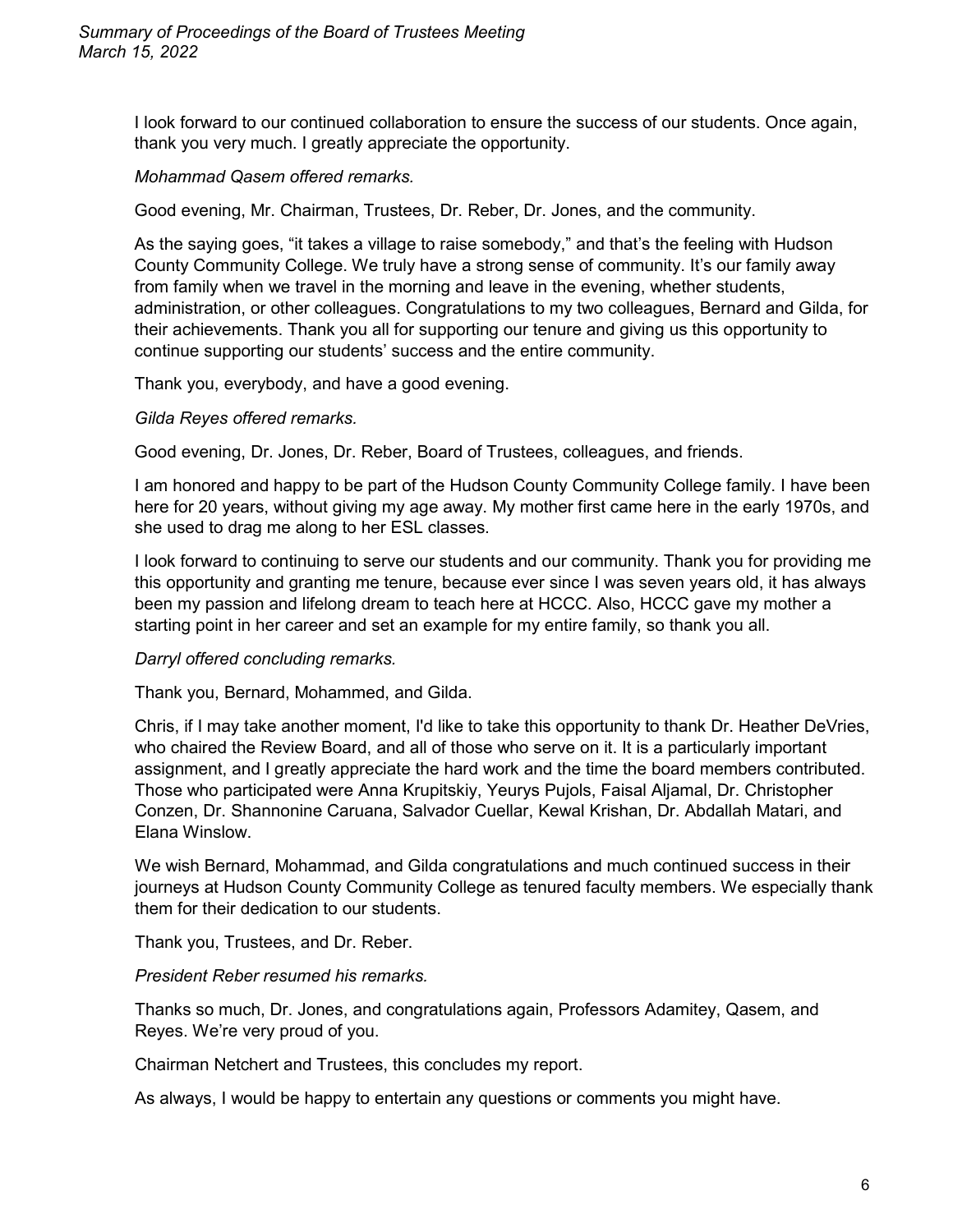I look forward to our continued collaboration to ensure the success of our students. Once again, thank you very much. I greatly appreciate the opportunity.

## *Mohammad Qasem offered remarks.*

Good evening, Mr. Chairman, Trustees, Dr. Reber, Dr. Jones, and the community.

As the saying goes, "it takes a village to raise somebody," and that's the feeling with Hudson County Community College. We truly have a strong sense of community. It's our family away from family when we travel in the morning and leave in the evening, whether students, administration, or other colleagues. Congratulations to my two colleagues, Bernard and Gilda, for their achievements. Thank you all for supporting our tenure and giving us this opportunity to continue supporting our students' success and the entire community.

Thank you, everybody, and have a good evening.

#### *Gilda Reyes offered remarks.*

Good evening, Dr. Jones, Dr. Reber, Board of Trustees, colleagues, and friends.

I am honored and happy to be part of the Hudson County Community College family. I have been here for 20 years, without giving my age away. My mother first came here in the early 1970s, and she used to drag me along to her ESL classes.

I look forward to continuing to serve our students and our community. Thank you for providing me this opportunity and granting me tenure, because ever since I was seven years old, it has always been my passion and lifelong dream to teach here at HCCC. Also, HCCC gave my mother a starting point in her career and set an example for my entire family, so thank you all.

## *Darryl offered concluding remarks.*

Thank you, Bernard, Mohammed, and Gilda.

Chris, if I may take another moment, I'd like to take this opportunity to thank Dr. Heather DeVries, who chaired the Review Board, and all of those who serve on it. It is a particularly important assignment, and I greatly appreciate the hard work and the time the board members contributed. Those who participated were Anna Krupitskiy, Yeurys Pujols, Faisal Aljamal, Dr. Christopher Conzen, Dr. Shannonine Caruana, Salvador Cuellar, Kewal Krishan, Dr. Abdallah Matari, and Elana Winslow.

We wish Bernard, Mohammad, and Gilda congratulations and much continued success in their journeys at Hudson County Community College as tenured faculty members. We especially thank them for their dedication to our students.

Thank you, Trustees, and Dr. Reber.

*President Reber resumed his remarks.*

Thanks so much, Dr. Jones, and congratulations again, Professors Adamitey, Qasem, and Reyes. We're very proud of you.

Chairman Netchert and Trustees, this concludes my report.

As always, I would be happy to entertain any questions or comments you might have.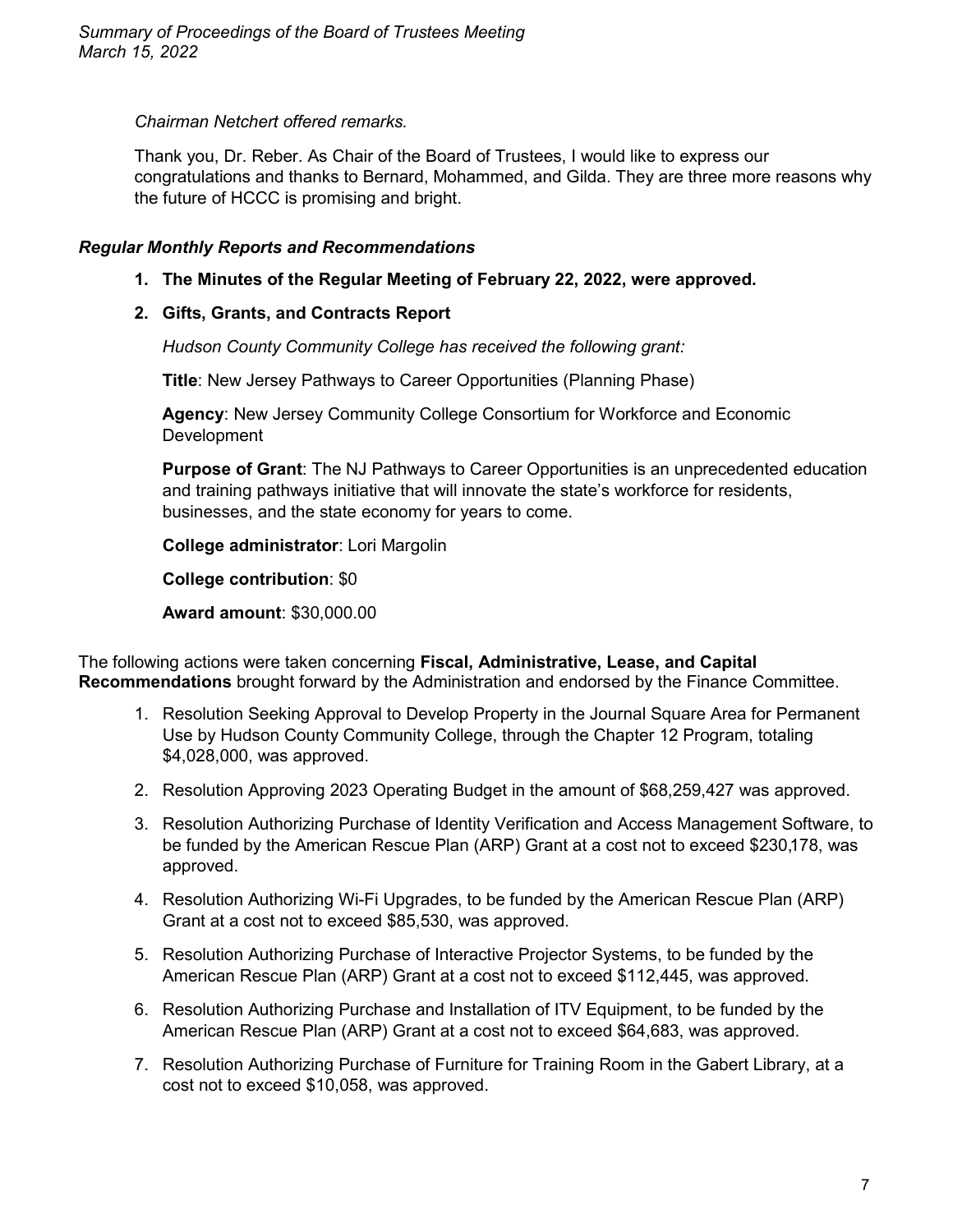## *Chairman Netchert offered remarks.*

Thank you, Dr. Reber. As Chair of the Board of Trustees, I would like to express our congratulations and thanks to Bernard, Mohammed, and Gilda. They are three more reasons why the future of HCCC is promising and bright.

# *Regular Monthly Reports and Recommendations*

**1. The Minutes of the Regular Meeting of February 22, 2022, were approved.**

# **2. Gifts, Grants, and Contracts Report**

*Hudson County Community College has received the following grant:*

**Title**: New Jersey Pathways to Career Opportunities (Planning Phase)

**Agency**: New Jersey Community College Consortium for Workforce and Economic **Development** 

**Purpose of Grant**: The NJ Pathways to Career Opportunities is an unprecedented education and training pathways initiative that will innovate the state's workforce for residents, businesses, and the state economy for years to come.

**College administrator**: Lori Margolin

**College contribution**: \$0

**Award amount**: \$30,000.00

The following actions were taken concerning **Fiscal, Administrative, Lease, and Capital Recommendations** brought forward by the Administration and endorsed by the Finance Committee.

- 1. Resolution Seeking Approval to Develop Property in the Journal Square Area for Permanent Use by Hudson County Community College, through the Chapter 12 Program, totaling \$4,028,000, was approved.
- 2. Resolution Approving 2023 Operating Budget in the amount of \$68,259,427 was approved.
- 3. Resolution Authorizing Purchase of Identity Verification and Access Management Software, to be funded by the American Rescue Plan (ARP) Grant at a cost not to exceed \$230,178, was approved.
- 4. Resolution Authorizing Wi-Fi Upgrades, to be funded by the American Rescue Plan (ARP) Grant at a cost not to exceed \$85,530, was approved.
- 5. Resolution Authorizing Purchase of Interactive Projector Systems, to be funded by the American Rescue Plan (ARP) Grant at a cost not to exceed \$112,445, was approved.
- 6. Resolution Authorizing Purchase and Installation of ITV Equipment, to be funded by the American Rescue Plan (ARP) Grant at a cost not to exceed \$64,683, was approved.
- 7. Resolution Authorizing Purchase of Furniture for Training Room in the Gabert Library, at a cost not to exceed \$10,058, was approved.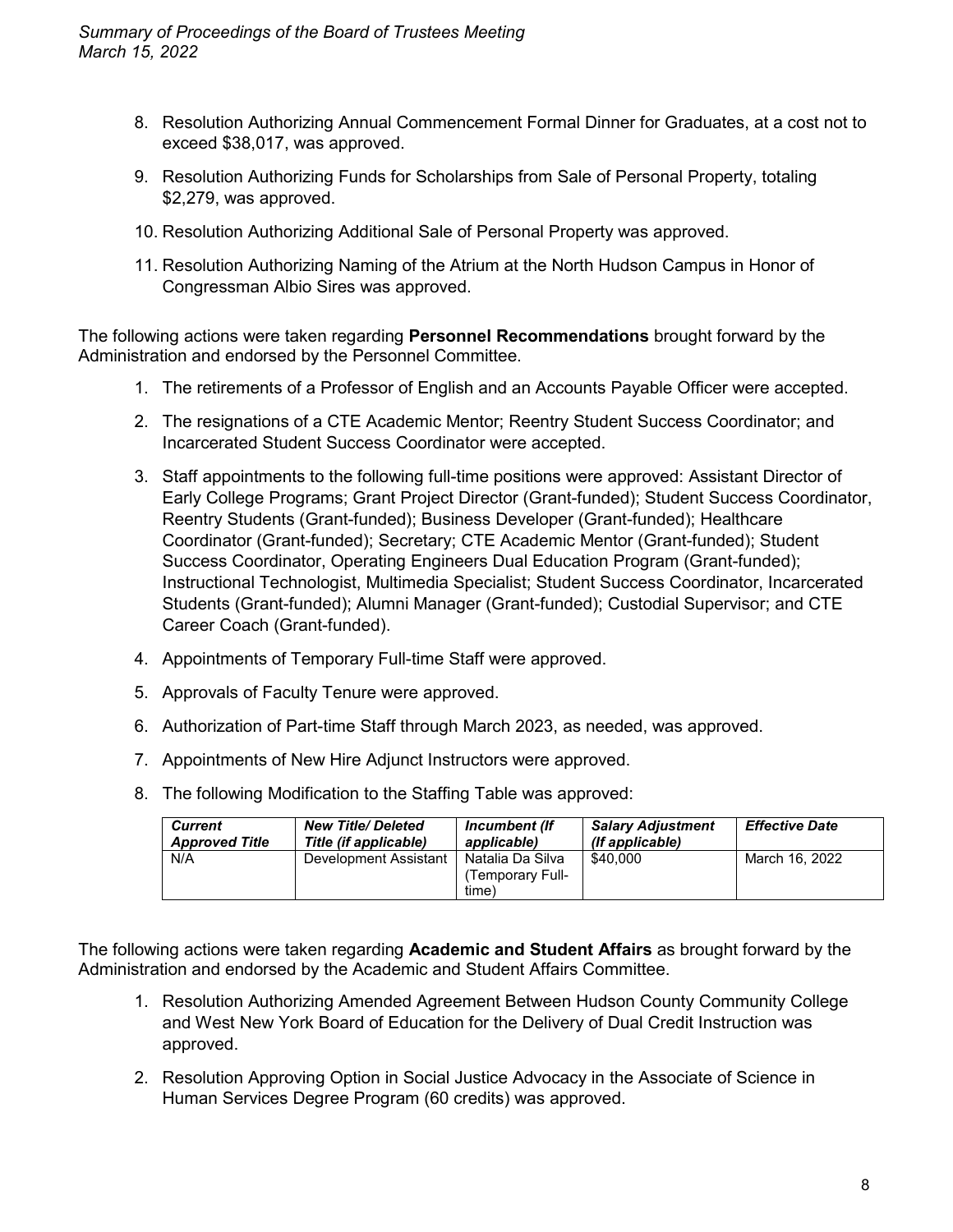- 8. Resolution Authorizing Annual Commencement Formal Dinner for Graduates, at a cost not to exceed \$38,017, was approved.
- 9. Resolution Authorizing Funds for Scholarships from Sale of Personal Property, totaling \$2,279, was approved.
- 10. Resolution Authorizing Additional Sale of Personal Property was approved.
- 11. Resolution Authorizing Naming of the Atrium at the North Hudson Campus in Honor of Congressman Albio Sires was approved.

The following actions were taken regarding **Personnel Recommendations** brought forward by the Administration and endorsed by the Personnel Committee.

- 1. The retirements of a Professor of English and an Accounts Payable Officer were accepted.
- 2. The resignations of a CTE Academic Mentor; Reentry Student Success Coordinator; and Incarcerated Student Success Coordinator were accepted.
- 3. Staff appointments to the following full-time positions were approved: Assistant Director of Early College Programs; Grant Project Director (Grant-funded); Student Success Coordinator, Reentry Students (Grant-funded); Business Developer (Grant-funded); Healthcare Coordinator (Grant-funded); Secretary; CTE Academic Mentor (Grant-funded); Student Success Coordinator, Operating Engineers Dual Education Program (Grant-funded); Instructional Technologist, Multimedia Specialist; Student Success Coordinator, Incarcerated Students (Grant-funded); Alumni Manager (Grant-funded); Custodial Supervisor; and CTE Career Coach (Grant-funded).
- 4. Appointments of Temporary Full-time Staff were approved.
- 5. Approvals of Faculty Tenure were approved.
- 6. Authorization of Part-time Staff through March 2023, as needed, was approved.
- 7. Appointments of New Hire Adjunct Instructors were approved.
- 8. The following Modification to the Staffing Table was approved:

| <b>Current</b>        | <b>New Title/ Deleted</b> | Incumbent (If                                | <b>Salary Adjustment</b> | <b>Effective Date</b> |
|-----------------------|---------------------------|----------------------------------------------|--------------------------|-----------------------|
| <b>Approved Title</b> | Title (if applicable)     | applicable)                                  | (If applicable)          |                       |
| N/A                   | Development Assistant     | Natalia Da Silva<br>Temporary Full-<br>time) | \$40,000                 | March 16, 2022        |

The following actions were taken regarding **Academic and Student Affairs** as brought forward by the Administration and endorsed by the Academic and Student Affairs Committee.

- 1. Resolution Authorizing Amended Agreement Between Hudson County Community College and West New York Board of Education for the Delivery of Dual Credit Instruction was approved.
- 2. Resolution Approving Option in Social Justice Advocacy in the Associate of Science in Human Services Degree Program (60 credits) was approved.